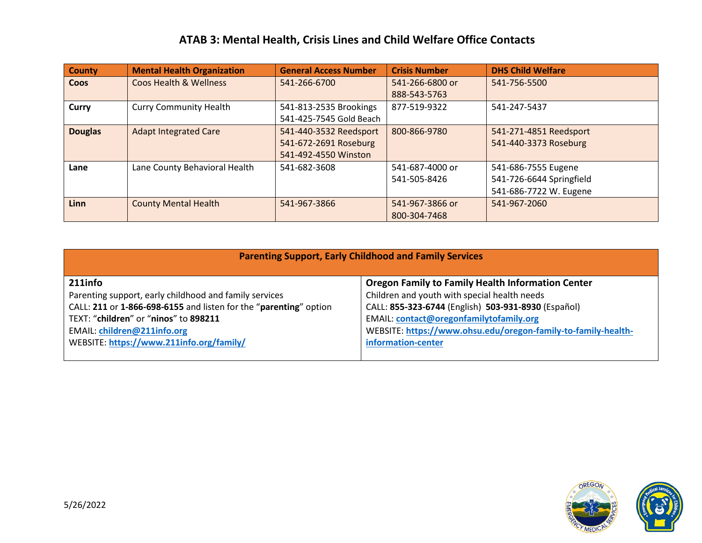## **ATAB 3: Mental Health, Crisis Lines and Child Welfare Office Contacts**

| <b>County</b>  | <b>Mental Health Organization</b> | <b>General Access Number</b> | <b>Crisis Number</b> | <b>DHS Child Welfare</b> |
|----------------|-----------------------------------|------------------------------|----------------------|--------------------------|
| <b>Coos</b>    | <b>Coos Health &amp; Wellness</b> | 541-266-6700                 | 541-266-6800 or      | 541-756-5500             |
|                |                                   |                              | 888-543-5763         |                          |
| <b>Curry</b>   | <b>Curry Community Health</b>     | 541-813-2535 Brookings       | 877-519-9322         | 541-247-5437             |
|                |                                   | 541-425-7545 Gold Beach      |                      |                          |
| <b>Douglas</b> | <b>Adapt Integrated Care</b>      | 541-440-3532 Reedsport       | 800-866-9780         | 541-271-4851 Reedsport   |
|                |                                   | 541-672-2691 Roseburg        |                      | 541-440-3373 Roseburg    |
|                |                                   | 541-492-4550 Winston         |                      |                          |
| Lane           | Lane County Behavioral Health     | 541-682-3608                 | 541-687-4000 or      | 541-686-7555 Eugene      |
|                |                                   |                              | 541-505-8426         | 541-726-6644 Springfield |
|                |                                   |                              |                      | 541-686-7722 W. Eugene   |
| <b>Linn</b>    | <b>County Mental Health</b>       | 541-967-3866                 | 541-967-3866 or      | 541-967-2060             |
|                |                                   |                              | 800-304-7468         |                          |

| <b>Parenting Support, Early Childhood and Family Services</b>     |                                                               |  |  |  |
|-------------------------------------------------------------------|---------------------------------------------------------------|--|--|--|
| 211info                                                           | <b>Oregon Family to Family Health Information Center</b>      |  |  |  |
| Parenting support, early childhood and family services            | Children and youth with special health needs                  |  |  |  |
| CALL: 211 or 1-866-698-6155 and listen for the "parenting" option | CALL: 855-323-6744 (English) 503-931-8930 (Español)           |  |  |  |
| TEXT: "children" or "ninos" to 898211                             | EMAIL: contact@oregonfamilytofamily.org                       |  |  |  |
| <b>EMAIL: children@211info.org</b>                                | WEBSITE: https://www.ohsu.edu/oregon-family-to-family-health- |  |  |  |
| WEBSITE: https://www.211info.org/family/                          | information-center                                            |  |  |  |
|                                                                   |                                                               |  |  |  |